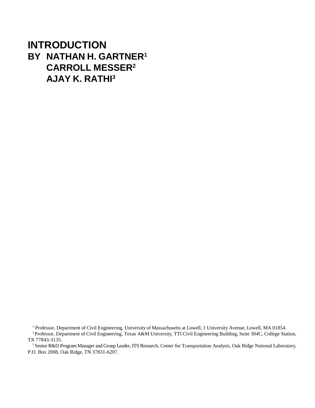## **INTRODUCTION BY NATHAN H. GARTNER1 CARROLL MESSER2 AJAY K. RATHI3**

<sup>1</sup> Professor, Department of Civil Engineering, University of Massachusetts at Lowell, 1 University Avenue, Lowell, MA 01854.

<sup>2</sup> Professor, Department of Civil Engineering, Texas A&M University, TTI Civil Engineering Building, Suite 304C, College Station, TX 77843-3135.

<sup>3</sup> Senior R&D Program Manager and Group Leader, ITS Research, Center for Transportation Analysis, Oak Ridge National Laboratory, P.O. Box 2008, Oak Ridge, TN 37831-6207.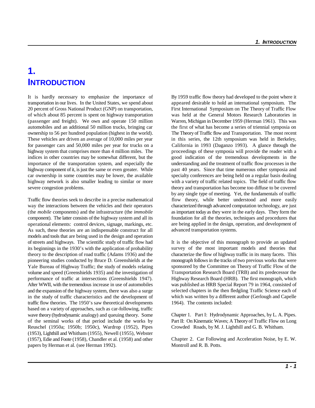## **1. INTRODUCTION**

transportation in our lives. In the United States, we spend about appeared desirable to hold an international symposium. The 20 percent of Gross National Product (GNP) on transportation, First International Symposium on The Theory of Traffic Flow of which about 85 percent is spent on highway transportation was held at the General Motors Research Laboratories in (passenger and freight). We own and operate 150 million Warren, Michigan in December 1959 (Herman 1961). This was automobiles and an additional 50 million trucks, bringing car the first of what has become a series of triennial symposia on ownership to 56 per hundred population (highest in the world). The Theory of Traffic flow and Transportation. The most recent These vehicles are driven an average of 10,000 miles per year in this series, the 12th symposium was held in Berkeley, for passenger cars and 50,000 miles per year for trucks on a California in 1993 (Daganzo 1993). A glance through the highway system that comprises more than 4 million miles. The proceedings of these symposia will provide the reader with a indices in other countries may be somewhat different, but the good indication of the tremendous developments in the importance of the transportation system, and especially the understanding and the treatment of traffic flow processes in the highway component of it, is just the same or even greater. While past 40 years. Since that time numerous other symposia and car ownership in some countries may be lower, the available specialty conferences are being held on a regular basis dealing highway network is also smaller leading to similar or more with a variety of traffic related topics. The field of traffic flow severe congestion problems. theory and transportation has become too diffuse to be covered

Traffic flow theories seek to describe in a precise mathematical flow theory, while better understood and more easily way the interactions between the vehicles and their operators characterized through advanced computation technology, are just (the *mobile* components) and the infrastructure (the *immobile* component). The latter consists of the highway system and all its operational elements: control devices, signage, markings, etc. As such, these theories are an indispensable construct for all models and tools that are being used in the design and operation of streets and highways. The scientific study of traffic flow had its beginnings in the 1930's with the application of probability theory to the description of road traffic (Adams 1936) and the pioneering studies conducted by Bruce D. Greenshields at the Yale Bureau of Highway Traffic; the study of models relating volume and speed (Greenshields 1935) and the investigation of performance of traffic at intersections (Greenshields 1947). After WWII, with the tremendous increase in use of automobiles and the expansion of the highway system, there was also a surge in the study of traffic characteristics and the development of traffic flow theories. The 1950's saw theoretical developments based on a variety of approaches, such as car-following, traffic wave theory (hydrodynamic analogy) and queuing theory. Some of the seminal works of that period include the works by Reuschel (1950a; 1950b; 1950c), Wardrop (1952), Pipes (1953), Lighthill and Whitham (1955), Newell (1955), Webster (1957), Edie and Foote (1958), Chandler et al. (1958) and other papers by Herman et al. (see Herman 1992).

It is hardly necessary to emphasize the importance of By 1959 traffic flow theory had developed to the point where it by any single type of meeting. Yet, the fundamentals of traffic as important today as they were in the early days. They form the foundation for all the theories, techniques and procedures that are being applied in the design, operation, and development of advanced transportation systems.

> It is the objective of this monograph to provide an updated survey of the most important models and theories that characterize the flow of highway traffic in its many facets. This monograph follows in the tracks of two previous works that were sponsored by the Committee on Theory of Traffic Flow of the Transportation Research Board (TRB) and its predecessor the Highway Research Board (HRB). The first monograph, which was published as HRB Special Report 79 in 1964, consisted of selected chapters in the then fledgling Traffic Science each of which was written by a different author (Gerlough and Capelle 1964). The contents included:

> Chapter 1. Part I: Hydrodynamic Approaches, by L. A. Pipes. Part II: On Kinematic Waves; A Theory of Traffic Flow on Long Crowded Roads, by M. J. Lighthill and G. B. Whitham.

> Chapter 2. Car Following and Acceleration Noise, by E. W. Montroll and R. B. Potts.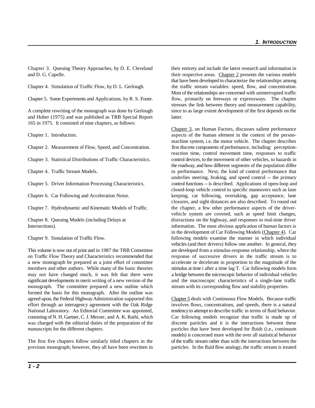Chapter 3. Queuing Theory Approaches, by D. E. Cleveland their entirety and include the latest research and information in and D. G. Capelle. their respective areas. Chapter 2 presents the various models

and Huber (1975) and was published as TRB Special Report latter. 165 in 1975. It consisted of nine chapters, as follows:

on Traffic Flow Theory and Characteristics recommended that response of successive drivers in the traffic stream is to a new monograph be prepared as a joint effort of committee accelerate or decelerate in proportion to the magnitude of the members and other authors. While many of the basic theories stimulus at time t after a time lag T. Car following models form may not have changed much, it was felt that there were a bridge between the microscopic behavior of individual vehicles significant developments to merit writing of a new version of the and the macroscopic characteristics of a single-lane traffic monograph. The committee prepared a new outline which stream with its corresponding flow and stability properties. formed the basis for this monograph. After the outline was agreed upon, the Federal Highway Administration supported this Chapter 5 deals with Continuous Flow Models. Because traffic effort through an interagency agreement with the Oak Ridge involves flows, concentrations, and speeds, there is a natural National Laboratory. An Editorial Committee was appointed, tendency to attempt to describe traffic in terms of fluid behavior. consisting of N. H. Gartner, C. J. Messer, and A. K. Rathi, which Car following models recognize that traffic is made up of was charged with the editorial duties of the preparation of the discrete particles and it is the interactions between these manuscripts for the different chapters. particles that have been developed for fluids (i.e., continuum

Chapter 4. Simulation of Traffic Flow, by D. L. Gerlough. the traffic stream variables: speed, flow, and concentration. Chapter 5. Some Experiments and Applications, by R. S. Foote. flow, primarily on freeways or expressways. The chapter A complete rewriting of the monograph was done by Gerlough since to as large extent development of the first depends on the that have been developed to characterize the relationships among Most of the relationships are concerned with uninterrupted traffic stresses the link between theory and measurement capability,

Chapter 1. Introduction. aspects of the human element in the context of the person-Chapter 2. Measurement of Flow, Speed, and Concentration. first discrete components of performance, including: perception-Chapter 3. Statistical Distributions of Traffic Characteristics. control devices, to the movement of other vehicles, to hazards in Chapter 4. Traffic Stream Models. in performance. Next, the kind of control performance that Chapter 5. Driver Information Processing Characteristics. control functions -- is described. Applications of open-loop and Chapter 6. Car Following and Acceleration Noise. keeping, car following, overtaking, gap acceptance, lane Chapter 7. Hydrodynamic and Kinematic Models of Traffic. the chapter, a few other performance aspects of the driver-Chapter 8. Queuing Models (including Delays at distractions on the highway, and responses to real-time driver Intersections). information. The most obvious application of human factors is Chapter 9. Simulation of Traffic Flow. following models examine the manner in which individual This volume is now out of print and in 1987 the TRB Committee are developed from a stimulus-response relationship, where the Chapter 3, on Human Factors, discusses salient performance machine system, i.e. the motor vehicle. The chapter describes reaction time, control movement time, responses to traffic the roadway, and how different segments of the population differ underlies steering, braking, and speed control -- the primary closed-loop vehicle control to specific maneuvers such as lane closures, and sight distances are also described. To round out vehicle system are covered, such as speed limit changes, in the development of Car Following Models (Chapter 4). Car vehicles (and their drivers) follow one another. In general, they

The first five chapters follow similarly titled chapters in the of the traffic stream rather than with the interactions between the previous monograph; however, they all have been rewritten in particles. In the fluid flow analogy, the traffic stream is treated models) is concerned more with the over all statistical behavior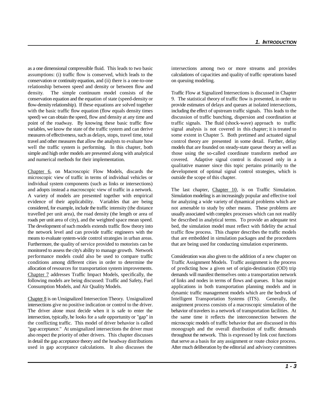as a one dimensional compressible fluid. This leads to two basic intersections among two or more streams and provides assumptions: (i) traffic flow is conserved, which leads to the calculations of capacities and quality of traffic operations based conservation or continuity equation, and (ii) there is a one-to-one on queuing modeling. relationship between speed and density or between flow and density. The simple continuum model consists of the Traffic Flow at Signalized Intersections is discussed in Chapter conservation equation and the equation of state (speed-density or 9. The statistical theory of traffic flow is presented, in order to flow-density relationship). If these equations are solved together provide estimates of delays and queues at isolated intersections, with the basic traffic flow equation (flow equals density times including the effect of upstream traffic signals. This leads to the speed) we can obtain the speed, flow and density at any time and discussion of traffic bunching, dispersion and coordination at point of the roadway. By knowing these basic traffic flow traffic signals. The fluid (shock-wave) approach to traffic variables, we know the state of the traffic system and can derive signal analysis is not covered in this chapter; it is treated to measures of effectiveness, such as delays, stops, travel time, total some extent in Chapter 5. Both pretimed and actuated signal travel and other measures that allow the analysts to evaluate how control theory are presented in some detail. Further, delay well the traffic system is performing. In this chapter, both models that are founded on steady-state queue theory as well as simple and high order models are presented along with analytical those using the so-called coordinate transform method are and numerical methods for their implementation. covered. Adaptive signal control is discussed only in a

Chapter 6, on Macroscopic Flow Models, discards the development of optimal signal control strategies, which is microscopic view of traffic in terms of individual vehicles or outside the scope of this chapter. individual system components (such as links or intersections) and adopts instead a macroscopic view of traffic in a network. The last chapter, Chapter 10, is on Traffic Simulation. A variety of models are presented together with empirical Simulation modeling is an increasingly popular and effective tool evidence of their applicability. Variables that are being for analyzing a wide variety of dynamical problems which are considered, for example, include the traffic intensity (the distance not amenable to study by other means. These problems are travelled per unit area), the road density (the length or area of usually associated with complex processes which can not readily roads per unit area of city), and the weighted space mean speed. be described in analytical terms. To provide an adequate test The development of such models extends traffic flow theory into bed, the simulation model must reflect with fidelity the actual the network level and can provide traffic engineers with the traffic flow process. This chapter describes the traffic models means to evaluate system-wide control strategies in urban areas. that are embedded in simulation packages and the procedures Furthermore, the quality of service provided to motorists can be that are being used for conducting simulation experiments. monitored to assess the city's ability to manage growth. Network performance models could also be used to compare traffic Consideration was also given to the addition of a new chapter on conditions among different cities in order to determine the Traffic Assignment Models. Traffic assignment is the process allocation of resources for transportation system improvements. of predicting how a given set of origin-destination (OD) trip Chapter 7 addresses Traffic Impact Models, specifically, the demands will manifest themselves onto a transportation network following models are being discussed: Traffic and Safety, Fuel of links and nodes in terms of flows and queues. It has major Consumption Models, and Air Quality Models. **a**pplications in both transportation planning models and in

intersections give no positive indication or control to the driver. assignment process consists of a macroscopic simulation of the The driver alone must decide when it is safe to enter the behavior of travelers in a network of transportation facilities. At intersection, typically, he looks for a safe opportunity or "gap" in the same time it reflects the interconnection between the the conflicting traffic. This model of driver behavior is called microscopic models of traffic behavior that are discussed in this "gap acceptance." At unsignalized intersections the driver must monograph and the overall distribution of traffic demands also respect the priority of other drivers. This chapter discusses throughout the network. This is expressed by link cost functions in detail the gap acceptance theory and the headway distributions that serve as a basis for any assignment or route choice process. used in gap acceptance calculations. It also discusses the After much deliberation by the editorial and advisory committees

qualitative manner since this topic pertains primarily to the

Chapter 8 is on Unsignalized Intersection Theory. Unsignalized Intelligent Transportation Systems (ITS). Generally, the dynamic traffic management models which are the bedrock of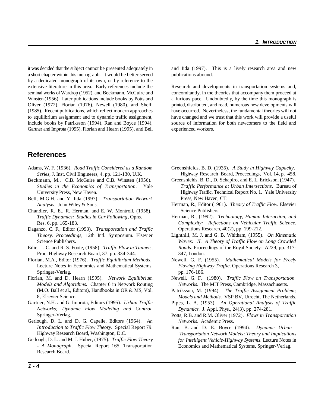it was decided that the subject cannot be presented adequately in and Iida (1997). This is a lively research area and new a short chapter within this monograph. It would be better served publications abound. by a dedicated monograph of its own, or by reference to the extensive literature in this area. Early references include the Research and developments in transportation systems and, seminal works of Wardrop (1952), and Beckmann, McGuire and concomitantly, in the theories that accompany them proceed at Winsten (1956). Later publications include books by Potts and a furious pace. Undoubtedly, by the time this monograph is Oliver (1972), Florian (1976), Newell (1980), and Sheffi printed, distributed, and read, numerous new developments will (1985). Recent publications, which reflect modern approaches have occurred. Nevertheless, the fundamental theories will not to equilibrium assignment and to dynamic traffic assignment, have changed and we trust that this work will provide a useful include books by Patriksson (1994), Ran and Boyce (1994), source of information for both newcomers to the field and Gartner and Improta (1995), Florian and Hearn (1995), and Bell experienced workers.

## **References**

- *Series*, J. Inst. Civil Engineers, 4, pp. 121-130, U.K.
- Beckmann, M., C.B. McGuire and C.B. Winsten (1956). *Studies in the Economics of Transportation*. Yale University Press, New Haven.
- Bell, M.G.H. and Y. Iida (1997). *Transportation Network Analysis*. John Wiley & Sons.
- Chandler, R. E., R. Herman, and E. W. Montroll, (1958). *Traffic Dynamics: Studies in Car Following*, Opns. Res. 6, pp. 165-183.
- Daganzo, C. F., Editor (1993). *Transportation and Traffic Theory. Proceedings*, 12th Intl. Symposium. Elsevier Science Publishers.
- Edie, L. C. and R. S. Foote, (1958). *Traffic Flow in Tunnels*, Proc. Highway Research Board, 37, pp. 334-344.
- Florian, M.A., Editor (1976). *Traffic Equilibrium Methods*. Lecture Notes in Economics and Mathematical Systems, *Flowing Highway Traffic*. Operations Research 3, Springer-Verlag. pp. 176-186.
- Florian, M. and D. Hearn (1995). *Network Equilibrium* Newell, G. F. (1980). *Traffic Flow on Transportation* (M.O. Ball et al., Editors), Handbooks in OR & MS, Vol. 8, Elsevier Science.
- Gartner, N.H. and G. Improta, Editors (1995). *Urban Traffic Networks; Dynamic Flow Modeling and Control*. Springer-Verlag.
- Gerlough, D. L. and D. G. Capelle, Editors (1964). *An Introduction to Traffic Flow Theory*. Special Report 79. Highway Research Board, Washington, D.C.
- Gerlough, D. L. and M. J. Huber, (1975). *Traffic Flow Theory - A Monograph*. Special Report 165, Transportation Research Board.

- Adams, W. F. (1936). *Road Traffic Considered as a Random* Greenshields, B. D. (1935). *A Study in Highway Capacity*. Highway Research Board, Proceedings, Vol. 14, p. 458.
	- Greenshields, B. D., D. Schapiro, and E. L. Erickson, (1947). *Traffic Performance at Urban Intersections*. Bureau of Highway Traffic, Technical Report No. 1. Yale University Press, New Haven, CT.
	- Herman, R., Editor (1961). *Theory of Traffic Flow*. Elsevier Science Publishers.
	- Herman, R., (1992). *Technology, Human Interaction, and Complexity: Reflections on Vehicular Traffic Science*. Operations Research, 40(2), pp. 199-212.
	- Lighthill, M. J. and G. B. Whitham, (1955). *On Kinematic Waves: II. A Theory of Traffic Flow on Long Crowded Roads*. Proceedings of the Royal Society: A229, pp. 317- 347, London.
	- Newell, G. F. (1955). *Mathematical Models for Freely*
	- *Models and Algorithms.* Chapter 6 in Network Routing *Networks*. The MIT Press, Cambridge, Massachusetts.
		- Patriksson, M. (1994). *The Traffic Assignment Problem; Models and Methods*. VSP BV, Utrecht, The Netherlands.
		- Pipes, L. A. (1953). *An Operational Analysis of Traffic Dynamics.* J. Appl. Phys., 24(3), pp. 274-281.
		- Potts, R.B. and R.M. Oliver (1972). *Flows in Transportation Networks*. Academic Press.
		- Ran, B. and D. E. Boyce (1994). *Dynamic Urban Transportation Network Models; Theory and Implications for Intelligent Vehicle-Highway Systems*. Lecture Notes in Economics and Mathematical Systems, Springer-Verlag.